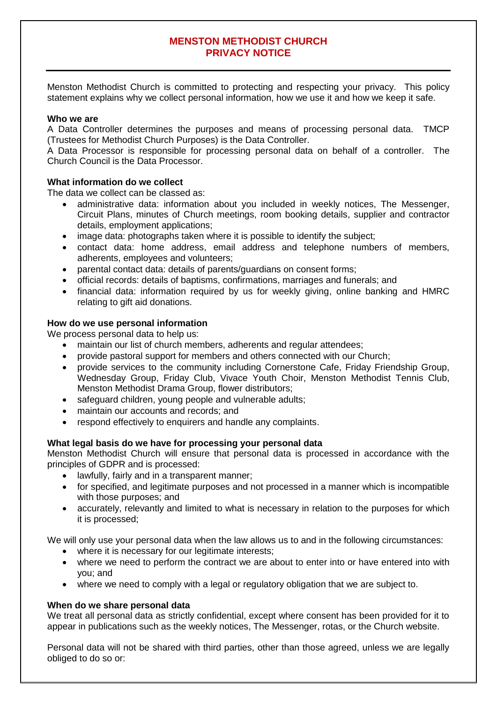# **MENSTON METHODIST CHURCH PRIVACY NOTICE**

Menston Methodist Church is committed to protecting and respecting your privacy. This policy statement explains why we collect personal information, how we use it and how we keep it safe.

## **Who we are**

A Data Controller determines the purposes and means of processing personal data. TMCP (Trustees for Methodist Church Purposes) is the Data Controller.

A Data Processor is responsible for processing personal data on behalf of a controller. The Church Council is the Data Processor.

## **What information do we collect**

The data we collect can be classed as:

- administrative data: information about you included in weekly notices, The Messenger, Circuit Plans, minutes of Church meetings, room booking details, supplier and contractor details, employment applications;
- image data: photographs taken where it is possible to identify the subject:
- contact data: home address, email address and telephone numbers of members, adherents, employees and volunteers;
- parental contact data: details of parents/guardians on consent forms;
- official records: details of baptisms, confirmations, marriages and funerals; and
- financial data: information required by us for weekly giving, online banking and HMRC relating to gift aid donations.

## **How do we use personal information**

We process personal data to help us:

- maintain our list of church members, adherents and regular attendees;
- provide pastoral support for members and others connected with our Church;
- provide services to the community including Cornerstone Cafe, Friday Friendship Group, Wednesday Group, Friday Club, Vivace Youth Choir, Menston Methodist Tennis Club, Menston Methodist Drama Group, flower distributors;
- safeguard children, young people and vulnerable adults;
- maintain our accounts and records; and
- respond effectively to enquirers and handle any complaints.

## **What legal basis do we have for processing your personal data**

Menston Methodist Church will ensure that personal data is processed in accordance with the principles of GDPR and is processed:

- lawfully, fairly and in a transparent manner;
- for specified, and legitimate purposes and not processed in a manner which is incompatible with those purposes; and
- accurately, relevantly and limited to what is necessary in relation to the purposes for which it is processed;

We will only use your personal data when the law allows us to and in the following circumstances:

- where it is necessary for our legitimate interests;
- where we need to perform the contract we are about to enter into or have entered into with you; and
- where we need to comply with a legal or regulatory obligation that we are subject to.

## **When do we share personal data**

We treat all personal data as strictly confidential, except where consent has been provided for it to appear in publications such as the weekly notices, The Messenger, rotas, or the Church website.

Personal data will not be shared with third parties, other than those agreed, unless we are legally obliged to do so or: